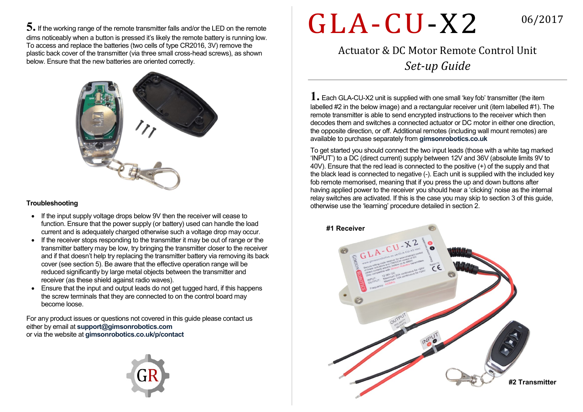**5.** If the working range of the remote transmitter falls and/or the LED on the remote dims noticeably when a button is pressed it's likely the remote battery is running low. To access and replace the batteries (two cells of type CR2016, 3V) remove the plastic back cover of the transmitter (via three small cross-head screws), as shown below. Ensure that the new batteries are oriented correctly.



## **Troubleshooting**

- If the input supply voltage drops below 9V then the receiver will cease to function. Ensure that the power supply (or battery) used can handle the load current and is adequately charged otherwise such a voltage drop may occur.
- If the receiver stops responding to the transmitter it may be out of range or the transmitter battery may be low, try bringing the transmitter closer to the receiver and if that doesn't help try replacing the transmitter battery via removing its back cover (see section 5). Be aware that the effective operation range will be reduced significantly by large metal objects between the transmitter and receiver (as these shield against radio waves).
- Ensure that the input and output leads do not get tugged hard, if this happens the screw terminals that they are connected to on the control board may become loose.

For any product issues or questions not covered in this guide please contact us either by email at **support@gimsonrobotics.com** or via the website at **gimsonrobotics.co.uk/p/contact**



## GLA-CU-X2

06/2017

Actuator & DC Motor Remote Control Unit *Set-up Guide*

**1.** Each GLA-CU-X2 unit is supplied with one small 'key fob' transmitter (the item labelled #2 in the below image) and a rectangular receiver unit (item labelled #1). The remote transmitter is able to send encrypted instructions to the receiver which then decodes them and switches a connected actuator or DC motor in either one direction, the opposite direction, or off. Additional remotes (including wall mount remotes) are available to purchase separately from **gimsonrobotics.co.uk**

To get started you should connect the two input leads (those with a white tag marked 'INPUT') to a DC (direct current) supply between 12V and 36V (absolute limits 9V to 40V). Ensure that the red lead is connected to the positive (+) of the supply and that the black lead is connected to negative (-). Each unit is supplied with the included key fob remote memorised, meaning that if you press the up and down buttons after having applied power to the receiver you should hear a 'clicking' noise as the internal relay switches are activated. If this is the case you may skip to section 3 of this guide, otherwise use the 'learning' procedure detailed in section 2.